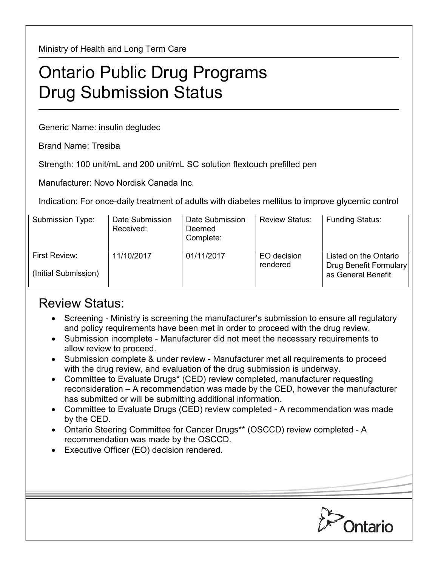Ministry of Health and Long Term Care

## Ontario Public Drug Programs Drug Submission Status

Generic Name: insulin degludec

Brand Name: Tresiba

Strength: 100 unit/mL and 200 unit/mL SC solution flextouch prefilled pen

Manufacturer: Novo Nordisk Canada Inc.

Indication: For once-daily treatment of adults with diabetes mellitus to improve glycemic control

| Submission Type:                      | Date Submission<br>Received: | Date Submission<br>Deemed<br>Complete: | <b>Review Status:</b>   | <b>Funding Status:</b>                                                |
|---------------------------------------|------------------------------|----------------------------------------|-------------------------|-----------------------------------------------------------------------|
| First Review:<br>(Initial Submission) | 11/10/2017                   | 01/11/2017                             | EO decision<br>rendered | Listed on the Ontario<br>Drug Benefit Formulary<br>as General Benefit |

## Review Status:

- Screening Ministry is screening the manufacturer's submission to ensure all regulatory and policy requirements have been met in order to proceed with the drug review.
- Submission incomplete Manufacturer did not meet the necessary requirements to allow review to proceed.
- Submission complete & under review Manufacturer met all requirements to proceed with the drug review, and evaluation of the drug submission is underway.
- Committee to Evaluate Drugs\* (CED) review completed, manufacturer requesting reconsideration – A recommendation was made by the CED, however the manufacturer has submitted or will be submitting additional information.
- Committee to Evaluate Drugs (CED) review completed A recommendation was made by the CED.
- Ontario Steering Committee for Cancer Drugs\*\* (OSCCD) review completed A recommendation was made by the OSCCD.
- Executive Officer (EO) decision rendered.